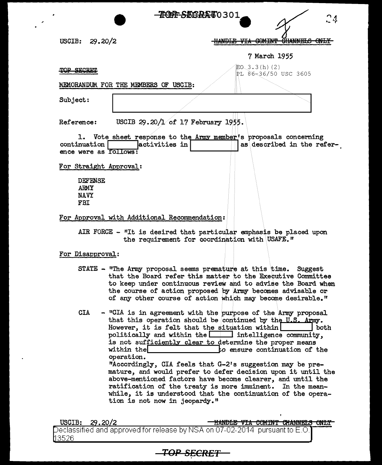USCIB:  $29.20/2$  TREFF-SEDRA 60301<br>HANDLE VIA COMINT CHANNELS ONLY

7 March 1955

## TOP SECRET

 $E_0$  3.3(h) (2) PL g6~36/50 USC 3605

MEMORANDUM FOR THE MEMBERS OF USCIB:

Subject:

Reference: USCIB 29.20/1 of 17 February 1955.

1. Vote sheet response to the  $\Lambda$ rm member's proposals concerning continuation  $\begin{array}{|c|c|c|c|c|c|}\n\hline\n&\text{2} & \text{3} & \text{4} & \text{5} & \text{6} & \text{6} & \text{7} & \text{7} & \text{8} \\
\hline\n&\text{4} & \text{5} & \text{6} & \text{7} & \text{7} & \text{8} & \text{7} & \text{8} & \text{9} \\
\h$ ence were as follows:

For Straight Approval:

DEFENSE ARMY NAVY FBI

For Approval with Additional Recommendation:

AIR FORCE  $-$  "It is desired that particular emphasis be placed upon the requirement for coordination with USAFE."

## For Disapproval:

- STATE "The Army proposal seems premature at this time. Suggest that the Board refer this matter to the Executive Committee to keep under continuous review and to advise the Board when the course or action proposed by Army becomes advisable or of any other course of action which may become desirable."
- $CIA$  "CIA is in agreement with the purpose of the Army proposal that this operation should be continued by the U.S. Army.<br>However, it is felt that the situation within However, it is felt that the situation within politically and within the  $\Box$  intelligence community, is not sufficiently clear to determine the proper means<br>within the state of the continuation of t to ensure continuation of the operation. "Accordingly, CIA feels that G-2's suggestion may be premature, and would prefer to defer decision upon it until the above-mentioned factors have become clearer, and until the ratification of the treaty is more imminent. In the meanwhile, it is understood that the continuation of the operation is not now in jeopardy."

USCIB: .20 2 Hldft>LE VI:A eeMfN'f 6Hk:NNELB ertLY Declassified and approved for release by NSA on 07-02-2014  $\,$  pursuant to E.O. 3526

**TOP SECRET**